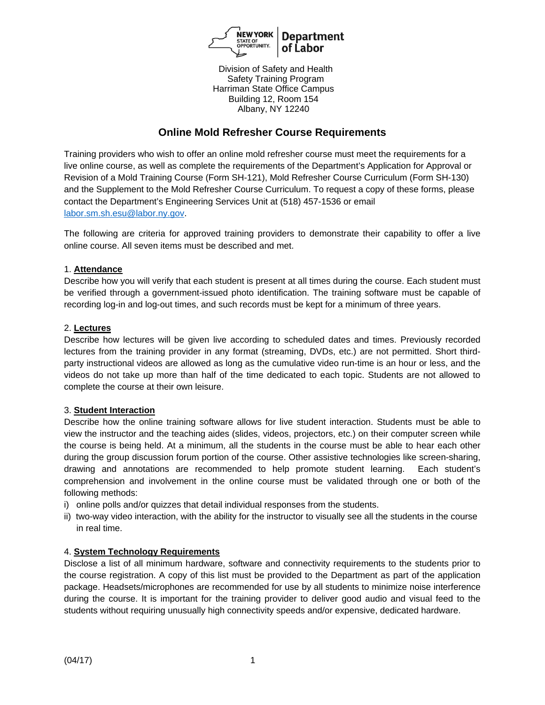

Division of Safety and Health Safety Training Program Harriman State Office Campus Building 12, Room 154 Albany, NY 12240

# **Online Mold Refresher Course Requirements**

Training providers who wish to offer an online mold refresher course must meet the requirements for a live online course, as well as complete the requirements of the Department's Application for Approval or Revision of a Mold Training Course (Form SH-121), Mold Refresher Course Curriculum (Form SH-130) and the Supplement to the Mold Refresher Course Curriculum. To request a copy of these forms, please contact the Department's Engineering Services Unit at (518) 457-1536 or email labor.sm.sh.esu@labor.ny.gov.

The following are criteria for approved training providers to demonstrate their capability to offer a live online course. All seven items must be described and met.

#### 1. **Attendance**

Describe how you will verify that each student is present at all times during the course. Each student must be verified through a government-issued photo identification. The training software must be capable of recording log-in and log-out times, and such records must be kept for a minimum of three years.

#### 2. **Lectures**

Describe how lectures will be given live according to scheduled dates and times. Previously recorded lectures from the training provider in any format (streaming, DVDs, etc.) are not permitted. Short thirdparty instructional videos are allowed as long as the cumulative video run-time is an hour or less, and the videos do not take up more than half of the time dedicated to each topic. Students are not allowed to complete the course at their own leisure.

#### 3. **Student Interaction**

Describe how the online training software allows for live student interaction. Students must be able to view the instructor and the teaching aides (slides, videos, projectors, etc.) on their computer screen while the course is being held. At a minimum, all the students in the course must be able to hear each other during the group discussion forum portion of the course. Other assistive technologies like screen-sharing, drawing and annotations are recommended to help promote student learning. Each student's comprehension and involvement in the online course must be validated through one or both of the following methods:

- i) online polls and/or quizzes that detail individual responses from the students.
- ii) two-way video interaction, with the ability for the instructor to visually see all the students in the course in real time.

## 4. **System Technology Requirements**

Disclose a list of all minimum hardware, software and connectivity requirements to the students prior to the course registration. A copy of this list must be provided to the Department as part of the application package. Headsets/microphones are recommended for use by all students to minimize noise interference during the course. It is important for the training provider to deliver good audio and visual feed to the students without requiring unusually high connectivity speeds and/or expensive, dedicated hardware.